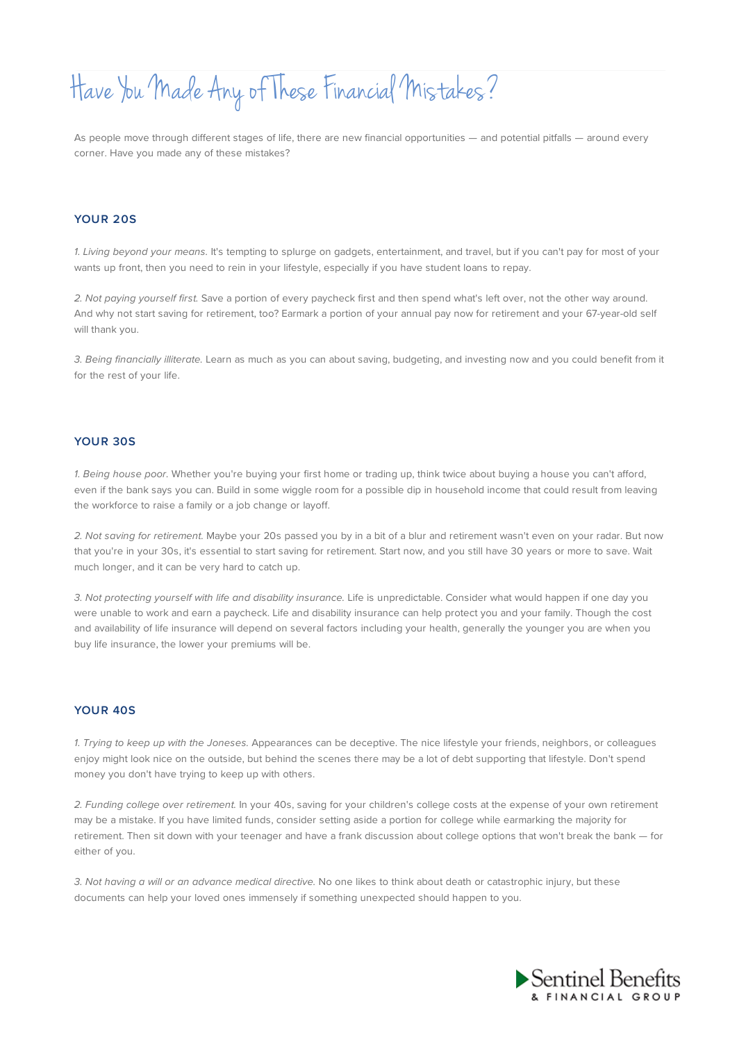# Have You Made Any of These Financial Mistakes?

As people move through different stages of life, there are new financial opportunities — and potential pitfalls — around every corner. Have you made any of these mistakes?

### **YOUR 20S**

1. Living beyond your means. It's tempting to splurge on gadgets, entertainment, and travel, but if you can't pay for most of your wants up front, then you need to rein in your lifestyle, especially if you have student loans to repay.

2. Not paying yourself first. Save a portion of every paycheck first and then spend what's left over, not the other way around. And why not start saving for retirement, too? Earmark a portion of your annual pay now for retirement and your 67-year-old self will thank you.

3. Being financially illiterate. Learn as much as you can about saving, budgeting, and investing now and you could benefit from it for the rest of your life.

#### **YOUR 30S**

1. Being house poor. Whether you're buying your first home or trading up, think twice about buying a house you can't afford, even if the bank says you can. Build in some wiggle room for a possible dip in household income that could result from leaving the workforce to raise a family or a job change or layoff.

2. Not saving for retirement. Maybe your 20s passed you by in a bit of a blur and retirement wasn't even on your radar. But now that you're in your 30s, it's essential to start saving for retirement. Start now, and you still have 30 years or more to save. Wait much longer, and it can be very hard to catch up.

3. Not protecting yourself with life and disability insurance. Life is unpredictable. Consider what would happen if one day you were unable to work and earn a paycheck. Life and disability insurance can help protect you and your family. Though the cost and availability of life insurance will depend on several factors including your health, generally the younger you are when you buy life insurance, the lower your premiums will be.

## **YOUR 40S**

1. Trying to keep up with the Joneses. Appearances can be deceptive. The nice lifestyle your friends, neighbors, or colleagues enjoy might look nice on the outside, but behind the scenes there may be a lot of debt supporting that lifestyle. Don't spend money you don't have trying to keep up with others.

2. Funding college over retirement. In your 40s, saving for your children's college costs at the expense of your own retirement may be a mistake. If you have limited funds, consider setting aside a portion for college while earmarking the majority for retirement. Then sit down with your teenager and have a frank discussion about college options that won't break the bank — for either of you.

3. Not having a will or an advance medical directive. No one likes to think about death or catastrophic injury, but these documents can help your loved ones immensely if something unexpected should happen to you.